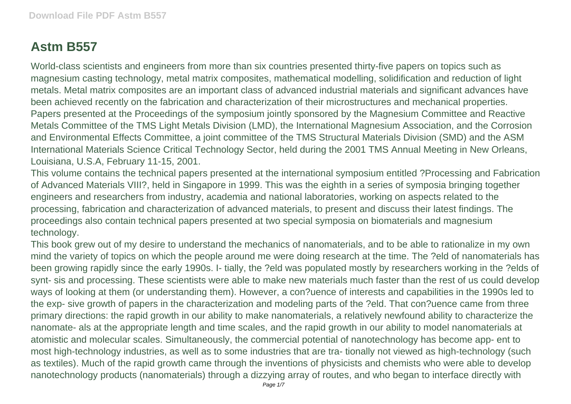## **Astm B557**

World-class scientists and engineers from more than six countries presented thirty-five papers on topics such as magnesium casting technology, metal matrix composites, mathematical modelling, solidification and reduction of light metals. Metal matrix composites are an important class of advanced industrial materials and significant advances have been achieved recently on the fabrication and characterization of their microstructures and mechanical properties. Papers presented at the Proceedings of the symposium jointly sponsored by the Magnesium Committee and Reactive Metals Committee of the TMS Light Metals Division (LMD), the International Magnesium Association, and the Corrosion and Environmental Effects Committee, a joint committee of the TMS Structural Materials Division (SMD) and the ASM International Materials Science Critical Technology Sector, held during the 2001 TMS Annual Meeting in New Orleans, Louisiana, U.S.A, February 11-15, 2001.

This volume contains the technical papers presented at the international symposium entitled ?Processing and Fabrication of Advanced Materials VIII?, held in Singapore in 1999. This was the eighth in a series of symposia bringing together engineers and researchers from industry, academia and national laboratories, working on aspects related to the processing, fabrication and characterization of advanced materials, to present and discuss their latest findings. The proceedings also contain technical papers presented at two special symposia on biomaterials and magnesium technology.

This book grew out of my desire to understand the mechanics of nanomaterials, and to be able to rationalize in my own mind the variety of topics on which the people around me were doing research at the time. The ?eld of nanomaterials has been growing rapidly since the early 1990s. I- tially, the ?eld was populated mostly by researchers working in the ?elds of synt- sis and processing. These scientists were able to make new materials much faster than the rest of us could develop ways of looking at them (or understanding them). However, a con?uence of interests and capabilities in the 1990s led to the exp- sive growth of papers in the characterization and modeling parts of the ?eld. That con?uence came from three primary directions: the rapid growth in our ability to make nanomaterials, a relatively newfound ability to characterize the nanomate- als at the appropriate length and time scales, and the rapid growth in our ability to model nanomaterials at atomistic and molecular scales. Simultaneously, the commercial potential of nanotechnology has become app- ent to most high-technology industries, as well as to some industries that are tra- tionally not viewed as high-technology (such as textiles). Much of the rapid growth came through the inventions of physicists and chemists who were able to develop nanotechnology products (nanomaterials) through a dizzying array of routes, and who began to interface directly with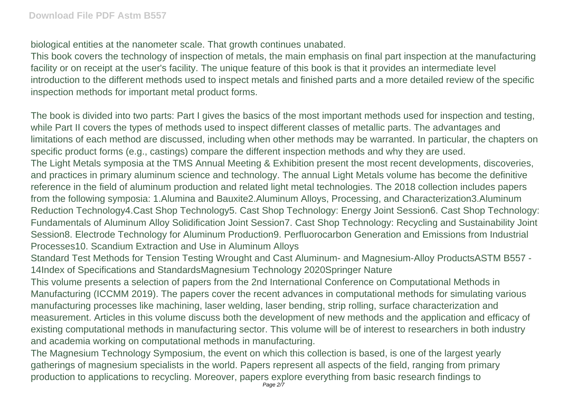biological entities at the nanometer scale. That growth continues unabated.

This book covers the technology of inspection of metals, the main emphasis on final part inspection at the manufacturing facility or on receipt at the user's facility. The unique feature of this book is that it provides an intermediate level introduction to the different methods used to inspect metals and finished parts and a more detailed review of the specific inspection methods for important metal product forms.

The book is divided into two parts: Part I gives the basics of the most important methods used for inspection and testing, while Part II covers the types of methods used to inspect different classes of metallic parts. The advantages and limitations of each method are discussed, including when other methods may be warranted. In particular, the chapters on specific product forms (e.g., castings) compare the different inspection methods and why they are used. The Light Metals symposia at the TMS Annual Meeting & Exhibition present the most recent developments, discoveries, and practices in primary aluminum science and technology. The annual Light Metals volume has become the definitive reference in the field of aluminum production and related light metal technologies. The 2018 collection includes papers from the following symposia: 1.Alumina and Bauxite2.Aluminum Alloys, Processing, and Characterization3.Aluminum Reduction Technology4.Cast Shop Technology5. Cast Shop Technology: Energy Joint Session6. Cast Shop Technology: Fundamentals of Aluminum Alloy Solidification Joint Session7. Cast Shop Technology: Recycling and Sustainability Joint Session8. Electrode Technology for Aluminum Production9. Perfluorocarbon Generation and Emissions from Industrial Processes10. Scandium Extraction and Use in Aluminum Alloys

Standard Test Methods for Tension Testing Wrought and Cast Aluminum- and Magnesium-Alloy ProductsASTM B557 - 14Index of Specifications and StandardsMagnesium Technology 2020Springer Nature

This volume presents a selection of papers from the 2nd International Conference on Computational Methods in Manufacturing (ICCMM 2019). The papers cover the recent advances in computational methods for simulating various manufacturing processes like machining, laser welding, laser bending, strip rolling, surface characterization and measurement. Articles in this volume discuss both the development of new methods and the application and efficacy of existing computational methods in manufacturing sector. This volume will be of interest to researchers in both industry and academia working on computational methods in manufacturing.

The Magnesium Technology Symposium, the event on which this collection is based, is one of the largest yearly gatherings of magnesium specialists in the world. Papers represent all aspects of the field, ranging from primary production to applications to recycling. Moreover, papers explore everything from basic research findings to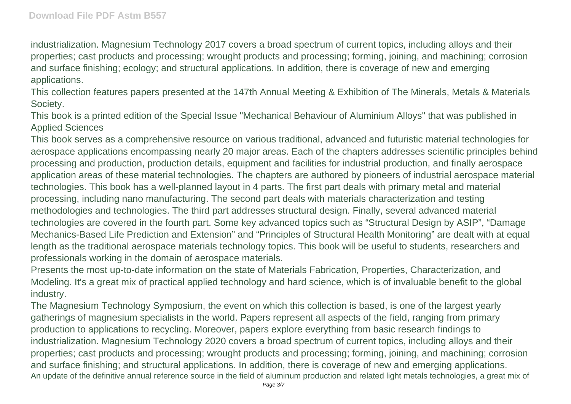industrialization. Magnesium Technology 2017 covers a broad spectrum of current topics, including alloys and their properties; cast products and processing; wrought products and processing; forming, joining, and machining; corrosion and surface finishing; ecology; and structural applications. In addition, there is coverage of new and emerging applications.

This collection features papers presented at the 147th Annual Meeting & Exhibition of The Minerals, Metals & Materials Society.

This book is a printed edition of the Special Issue "Mechanical Behaviour of Aluminium Alloys" that was published in Applied Sciences

This book serves as a comprehensive resource on various traditional, advanced and futuristic material technologies for aerospace applications encompassing nearly 20 major areas. Each of the chapters addresses scientific principles behind processing and production, production details, equipment and facilities for industrial production, and finally aerospace application areas of these material technologies. The chapters are authored by pioneers of industrial aerospace material technologies. This book has a well-planned layout in 4 parts. The first part deals with primary metal and material processing, including nano manufacturing. The second part deals with materials characterization and testing methodologies and technologies. The third part addresses structural design. Finally, several advanced material technologies are covered in the fourth part. Some key advanced topics such as "Structural Design by ASIP", "Damage Mechanics-Based Life Prediction and Extension" and "Principles of Structural Health Monitoring" are dealt with at equal length as the traditional aerospace materials technology topics. This book will be useful to students, researchers and professionals working in the domain of aerospace materials.

Presents the most up-to-date information on the state of Materials Fabrication, Properties, Characterization, and Modeling. It's a great mix of practical applied technology and hard science, which is of invaluable benefit to the global industry.

The Magnesium Technology Symposium, the event on which this collection is based, is one of the largest yearly gatherings of magnesium specialists in the world. Papers represent all aspects of the field, ranging from primary production to applications to recycling. Moreover, papers explore everything from basic research findings to industrialization. Magnesium Technology 2020 covers a broad spectrum of current topics, including alloys and their properties; cast products and processing; wrought products and processing; forming, joining, and machining; corrosion and surface finishing; and structural applications. In addition, there is coverage of new and emerging applications. An update of the definitive annual reference source in the field of aluminum production and related light metals technologies, a great mix of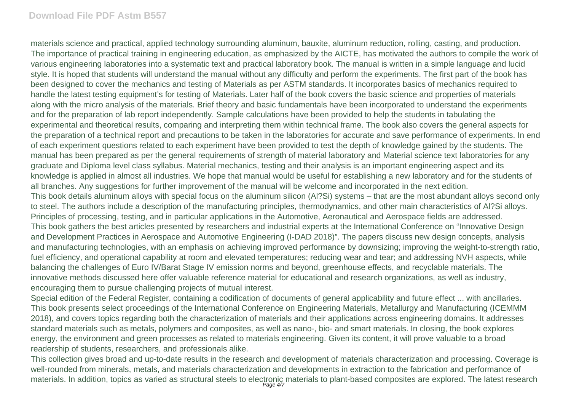## **Download File PDF Astm B557**

materials science and practical, applied technology surrounding aluminum, bauxite, aluminum reduction, rolling, casting, and production. The importance of practical training in engineering education, as emphasized by the AICTE, has motivated the authors to compile the work of various engineering laboratories into a systematic text and practical laboratory book. The manual is written in a simple language and lucid style. It is hoped that students will understand the manual without any difficulty and perform the experiments. The first part of the book has been designed to cover the mechanics and testing of Materials as per ASTM standards. It incorporates basics of mechanics required to handle the latest testing equipment's for testing of Materials. Later half of the book covers the basic science and properties of materials along with the micro analysis of the materials. Brief theory and basic fundamentals have been incorporated to understand the experiments and for the preparation of lab report independently. Sample calculations have been provided to help the students in tabulating the experimental and theoretical results, comparing and interpreting them within technical frame. The book also covers the general aspects for the preparation of a technical report and precautions to be taken in the laboratories for accurate and save performance of experiments. In end of each experiment questions related to each experiment have been provided to test the depth of knowledge gained by the students. The manual has been prepared as per the general requirements of strength of material laboratory and Material science text laboratories for any graduate and Diploma level class syllabus. Material mechanics, testing and their analysis is an important engineering aspect and its knowledge is applied in almost all industries. We hope that manual would be useful for establishing a new laboratory and for the students of all branches. Any suggestions for further improvement of the manual will be welcome and incorporated in the next edition. This book details aluminum alloys with special focus on the aluminum silicon (Al?Si) systems – that are the most abundant alloys second only to steel. The authors include a description of the manufacturing principles, thermodynamics, and other main characteristics of Al?Si alloys. Principles of processing, testing, and in particular applications in the Automotive, Aeronautical and Aerospace fields are addressed. This book gathers the best articles presented by researchers and industrial experts at the International Conference on "Innovative Design and Development Practices in Aerospace and Automotive Engineering (I-DAD 2018)". The papers discuss new design concepts, analysis and manufacturing technologies, with an emphasis on achieving improved performance by downsizing; improving the weight-to-strength ratio, fuel efficiency, and operational capability at room and elevated temperatures; reducing wear and tear; and addressing NVH aspects, while balancing the challenges of Euro IV/Barat Stage IV emission norms and beyond, greenhouse effects, and recyclable materials. The innovative methods discussed here offer valuable reference material for educational and research organizations, as well as industry, encouraging them to pursue challenging projects of mutual interest.

Special edition of the Federal Register, containing a codification of documents of general applicability and future effect ... with ancillaries. This book presents select proceedings of the International Conference on Engineering Materials, Metallurgy and Manufacturing (ICEMMM 2018), and covers topics regarding both the characterization of materials and their applications across engineering domains. It addresses standard materials such as metals, polymers and composites, as well as nano-, bio- and smart materials. In closing, the book explores energy, the environment and green processes as related to materials engineering. Given its content, it will prove valuable to a broad readership of students, researchers, and professionals alike.

This collection gives broad and up-to-date results in the research and development of materials characterization and processing. Coverage is well-rounded from minerals, metals, and materials characterization and developments in extraction to the fabrication and performance of materials. In addition, topics as varied as structural steels to electronic materials to plant-based composites are explored. The latest research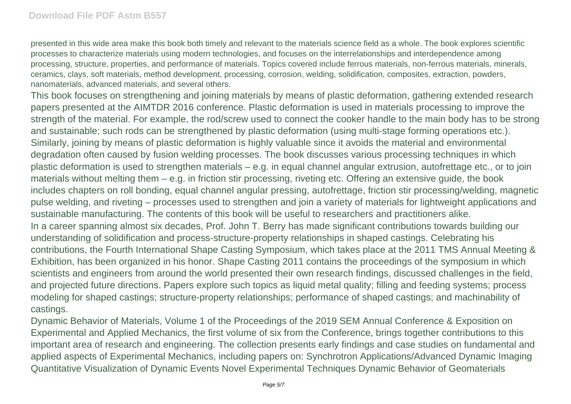presented in this wide area make this book both timely and relevant to the materials science field as a whole. The book explores scientific processes to characterize materials using modern technologies, and focuses on the interrelationships and interdependence among processing, structure, properties, and performance of materials. Topics covered include ferrous materials, non-ferrous materials, minerals, ceramics, clays, soft materials, method development, processing, corrosion, welding, solidification, composites, extraction, powders, nanomaterials, advanced materials, and several others.

This book focuses on strengthening and joining materials by means of plastic deformation, gathering extended research papers presented at the AIMTDR 2016 conference. Plastic deformation is used in materials processing to improve the strength of the material. For example, the rod/screw used to connect the cooker handle to the main body has to be strong and sustainable; such rods can be strengthened by plastic deformation (using multi-stage forming operations etc.). Similarly, joining by means of plastic deformation is highly valuable since it avoids the material and environmental degradation often caused by fusion welding processes. The book discusses various processing techniques in which plastic deformation is used to strengthen materials – e.g. in equal channel angular extrusion, autofrettage etc., or to join materials without melting them – e.g. in friction stir processing, riveting etc. Offering an extensive guide, the book includes chapters on roll bonding, equal channel angular pressing, autofrettage, friction stir processing/welding, magnetic pulse welding, and riveting – processes used to strengthen and join a variety of materials for lightweight applications and sustainable manufacturing. The contents of this book will be useful to researchers and practitioners alike. In a career spanning almost six decades, Prof. John T. Berry has made significant contributions towards building our understanding of solidification and process-structure-property relationships in shaped castings. Celebrating his contributions, the Fourth International Shape Casting Symposium, which takes place at the 2011 TMS Annual Meeting & Exhibition, has been organized in his honor. Shape Casting 2011 contains the proceedings of the symposium in which scientists and engineers from around the world presented their own research findings, discussed challenges in the field, and projected future directions. Papers explore such topics as liquid metal quality; filling and feeding systems; process modeling for shaped castings; structure-property relationships; performance of shaped castings; and machinability of castings.

Dynamic Behavior of Materials, Volume 1 of the Proceedings of the 2019 SEM Annual Conference & Exposition on Experimental and Applied Mechanics, the first volume of six from the Conference, brings together contributions to this important area of research and engineering. The collection presents early findings and case studies on fundamental and applied aspects of Experimental Mechanics, including papers on: Synchrotron Applications/Advanced Dynamic Imaging Quantitative Visualization of Dynamic Events Novel Experimental Techniques Dynamic Behavior of Geomaterials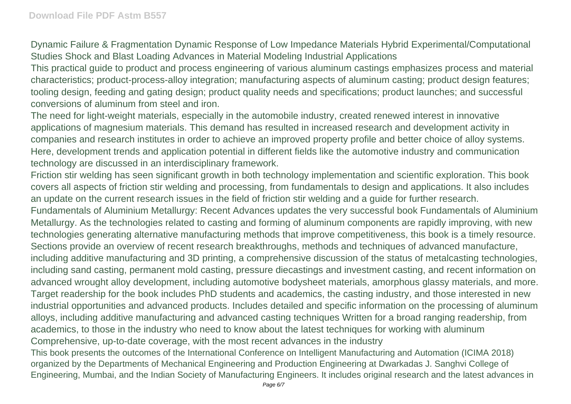Dynamic Failure & Fragmentation Dynamic Response of Low Impedance Materials Hybrid Experimental/Computational Studies Shock and Blast Loading Advances in Material Modeling Industrial Applications

This practical guide to product and process engineering of various aluminum castings emphasizes process and material characteristics; product-process-alloy integration; manufacturing aspects of aluminum casting; product design features; tooling design, feeding and gating design; product quality needs and specifications; product launches; and successful conversions of aluminum from steel and iron.

The need for light-weight materials, especially in the automobile industry, created renewed interest in innovative applications of magnesium materials. This demand has resulted in increased research and development activity in companies and research institutes in order to achieve an improved property profile and better choice of alloy systems. Here, development trends and application potential in different fields like the automotive industry and communication technology are discussed in an interdisciplinary framework.

Friction stir welding has seen significant growth in both technology implementation and scientific exploration. This book covers all aspects of friction stir welding and processing, from fundamentals to design and applications. It also includes an update on the current research issues in the field of friction stir welding and a guide for further research.

Fundamentals of Aluminium Metallurgy: Recent Advances updates the very successful book Fundamentals of Aluminium Metallurgy. As the technologies related to casting and forming of aluminum components are rapidly improving, with new technologies generating alternative manufacturing methods that improve competitiveness, this book is a timely resource. Sections provide an overview of recent research breakthroughs, methods and techniques of advanced manufacture, including additive manufacturing and 3D printing, a comprehensive discussion of the status of metalcasting technologies, including sand casting, permanent mold casting, pressure diecastings and investment casting, and recent information on advanced wrought alloy development, including automotive bodysheet materials, amorphous glassy materials, and more. Target readership for the book includes PhD students and academics, the casting industry, and those interested in new industrial opportunities and advanced products. Includes detailed and specific information on the processing of aluminum alloys, including additive manufacturing and advanced casting techniques Written for a broad ranging readership, from academics, to those in the industry who need to know about the latest techniques for working with aluminum Comprehensive, up-to-date coverage, with the most recent advances in the industry

This book presents the outcomes of the International Conference on Intelligent Manufacturing and Automation (ICIMA 2018) organized by the Departments of Mechanical Engineering and Production Engineering at Dwarkadas J. Sanghvi College of Engineering, Mumbai, and the Indian Society of Manufacturing Engineers. It includes original research and the latest advances in